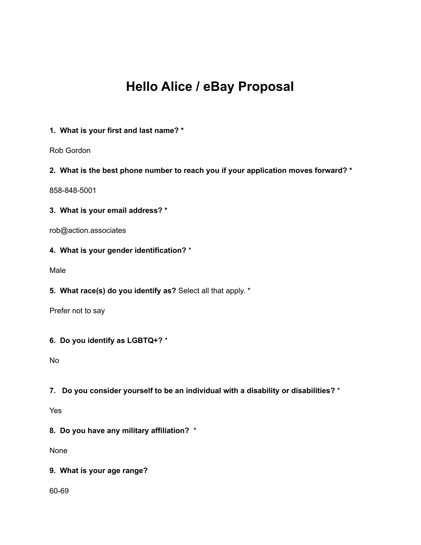# **Hello Alice / eBay Proposal**

# **1. What is your first and last name? \***

Rob Gordon

#### **2. What is the best phone number to reach you if your application moves forward? \***

858-848-5001

#### **3. What is your email address? \***

rob@action.associates

# **4. What is your gender identification?** \*

Male

## **5. What race(s) do you identify as?** Select all that apply. \*

Prefer not to say

#### **6. Do you identify as LGBTQ+?** \*

No

#### **7. Do you consider yourself to be an individual with a disability or disabilities?** \*

Yes

# **8. Do you have any military affiliation?** \*

None

#### **9. What is your age range?**

60-69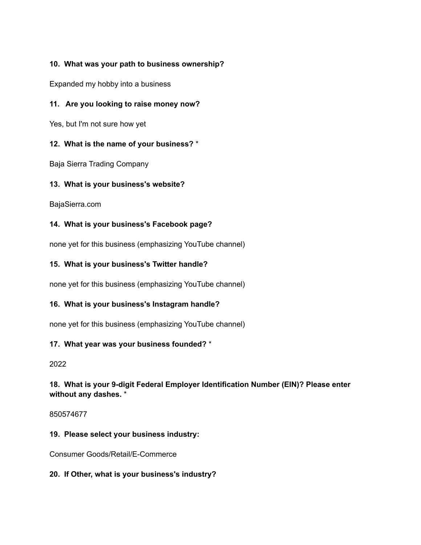# **10. What was your path to business ownership?**

Expanded my hobby into a business

## **11. Are you looking to raise money now?**

Yes, but I'm not sure how yet

#### **12. What is the name of your business?** \*

Baja Sierra Trading Company

#### **13. What is your business's website?**

BajaSierra.com

## **14. What is your business's Facebook page?**

none yet for this business (emphasizing YouTube channel)

#### **15. What is your business's Twitter handle?**

none yet for this business (emphasizing YouTube channel)

## **16. What is your business's Instagram handle?**

none yet for this business (emphasizing YouTube channel)

## **17. What year was your business founded?** \*

#### 2022

## **18. What is your 9-digit Federal Employer Identification Number (EIN)? Please enter without any dashes.** \*

#### 850574677

## **19. Please select your business industry:**

Consumer Goods/Retail/E-Commerce

## **20. If Other, what is your business's industry?**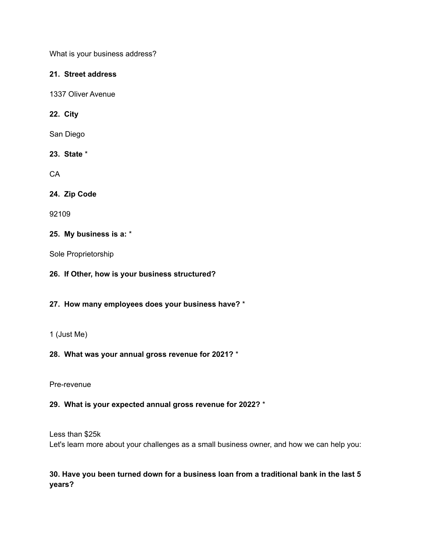What is your business address?

#### **21. Street address**

1337 Oliver Avenue

## **22. City**

San Diego

# **23. State** \*

**CA** 

# **24. Zip Code**

92109

## **25. My business is a:** \*

Sole Proprietorship

## **26. If Other, how is your business structured?**

## **27. How many employees does your business have?** \*

## 1 (Just Me)

## **28. What was your annual gross revenue for 2021?** \*

Pre-revenue

## **29. What is your expected annual gross revenue for 2022?** \*

Less than \$25k Let's learn more about your challenges as a small business owner, and how we can help you:

# **30. Have you been turned down for a business loan from a traditional bank in the last 5 years?**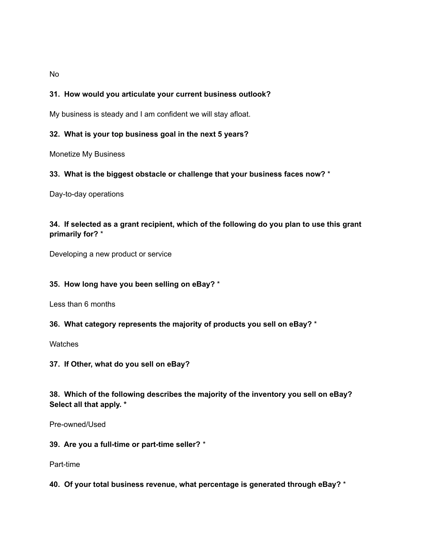No

#### **31. How would you articulate your current business outlook?**

My business is steady and I am confident we will stay afloat.

#### **32. What is your top business goal in the next 5 years?**

Monetize My Business

#### **33. What is the biggest obstacle or challenge that your business faces now?** \*

Day-to-day operations

## **34. If selected as a grant recipient, which of the following do you plan to use this grant primarily for?** \*

Developing a new product or service

#### **35. How long have you been selling on eBay?** \*

Less than 6 months

#### **36. What category represents the majority of products you sell on eBay?** \*

**Watches** 

**37. If Other, what do you sell on eBay?**

**38. Which of the following describes the majority of the inventory you sell on eBay? Select all that apply. \***

Pre-owned/Used

**39. Are you a full-time or part-time seller?** \*

Part-time

**40. Of your total business revenue, what percentage is generated through eBay?** \*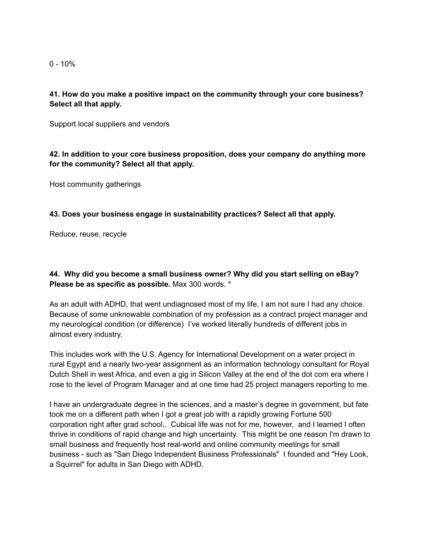$0 - 10%$ 

## **41. How do you make a positive impact on the community through your core business? Select all that apply.**

Support local suppliers and vendors

**42. In addition to your core business proposition, does your company do anything more for the community? Select all that apply.**

Host community gatherings

**43. Does your business engage in sustainability practices? Select all that apply.**

Reduce, reuse, recycle

**44. Why did you become a small business owner? Why did you start selling on eBay? Please be as specific as possible.** Max 300 words. \*

As an adult with ADHD, that went undiagnosed most of my life, I am not sure I had any choice. Because of some unknowable combination of my profession as a contract project manager and my neurological condition (or difference) I've worked literally hundreds of different jobs in almost every industry.

This includes work with the U.S. Agency for International Development on a water project in rural Egypt and a nearly two-year assignment as an information technology consultant for Royal Dutch Shell in west Africa, and even a gig in Silicon Valley at the end of the dot com era where I rose to the level of Program Manager and at one time had 25 project managers reporting to me.

I have an undergraduate degree in the sciences, and a master's degree in government, but fate took me on a different path when I got a great job with a rapidly growing Fortune 500 corporation right after grad school,. Cubical life was not for me, however, and I learned I often thrive in conditions of rapid change and high uncertainty. This might be one reason I'm drawn to small business and frequently host real-world and online community meetings for small business - such as "San Diego Independent Business Professionals" I founded and "Hey Look, a Squirrel" for adults in San Diego with ADHD.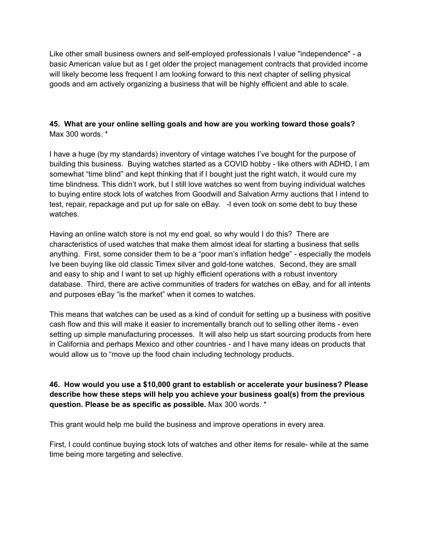Like other small business owners and self-employed professionals I value "independence" - a basic American value but as I get older the project management contracts that provided income will likely become less frequent I am looking forward to this next chapter of selling physical goods and am actively organizing a business that will be highly efficient and able to scale.

## **45. What are your online selling goals and how are you working toward those goals?** Max 300 words. \*

I have a huge (by my standards) inventory of vintage watches I've bought for the purpose of building this business. Buying watches started as a COVID hobby - like others with ADHD, I am somewhat "time blind" and kept thinking that if I bought just the right watch, it would cure my time blindness. This didn't work, but I still love watches so went from buying individual watches to buying entire stock lots of watches from Goodwill and Salvation Army auctions that I intend to test, repair, repackage and put up for sale on eBay. -I even took on some debt to buy these watches.

Having an online watch store is not my end goal, so why would I do this? There are characteristics of used watches that make them almost ideal for starting a business that sells anything. First, some consider them to be a "poor man's inflation hedge" - especially the models Ive been buying like old classic Timex silver and gold-tone watches. Second, they are small and easy to ship and I want to set up highly efficient operations with a robust inventory database. Third, there are active communities of traders for watches on eBay, and for all intents and purposes eBay "is the market" when it comes to watches.

This means that watches can be used as a kind of conduit for setting up a business with positive cash flow and this will make it easier to incrementally branch out to selling other items - even setting up simple manufacturing processes. It will also help us start sourcing products from here in California and perhaps Mexico and other countries - and I have many ideas on products that would allow us to "move up the food chain including technology products.

**46. How would you use a \$10,000 grant to establish or accelerate your business? Please describe how these steps will help you achieve your business goal(s) from the previous question. Please be as specific as possible.** Max 300 words. \*

This grant would help me build the business and improve operations in every area.

First, I could continue buying stock lots of watches and other items for resale- while at the same time being more targeting and selective.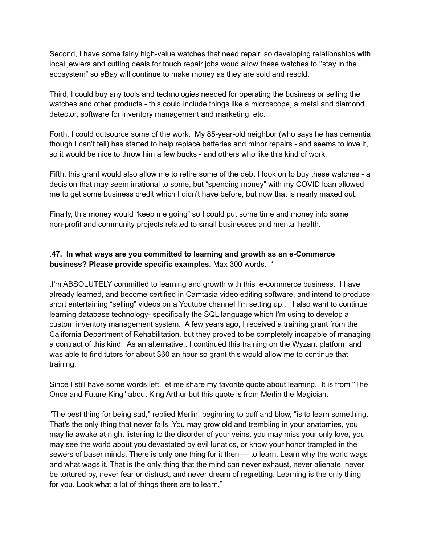Second, I have some fairly high-value watches that need repair, so developing relationships with local jewlers and cutting deals for touch repair jobs woud allow these watches to ''stay in the ecosystem" so eBay will continue to make money as they are sold and resold.

Third, I could buy any tools and technologies needed for operating the business or selling the watches and other products - this could include things like a microscope, a metal and diamond detector, software for inventory management and marketing, etc.

Forth, I could outsource some of the work. My 85-year-old neighbor (who says he has dementia though I can't tell) has started to help replace batteries and minor repairs - and seems to love it, so it would be nice to throw him a few bucks - and others who like this kind of work.

Fifth, this grant would also allow me to retire some of the debt I took on to buy these watches - a decision that may seem irrational to some, but "spending money" with my COVID loan allowed me to get some business credit which I didn't have before, but now that is nearly maxed out.

Finally, this money would "keep me going" so I could put some time and money into some non-profit and community projects related to small businesses and mental health.

# .**47. In what ways are you committed to learning and growth as an e-Commerce business? Please provide specific examples.** Max 300 words. \*

.I'm ABSOLUTELY committed to learning and growth with this e-commerce business. I have already learned, and become certified in Camtasia video editing software, and intend to produce short entertaining "selling" videos on a Youtube channel I'm setting up.. I also want to continue learning database technology- specifically the SQL language which I'm using to develop a custom inventory management system. A few years ago, I received a training grant from the California Department of Rehabilitation. but they proved to be completely incapable of managing a contract of this kind. As an alternative,, I continued this training on the Wyzant platform and was able to find tutors for about \$60 an hour so grant this would allow me to continue that training.

Since I still have some words left, let me share my favorite quote about learning. It is from "The Once and Future King" about King Arthur but this quote is from Merlin the Magician.

"The best thing for being sad," replied Merlin, beginning to puff and blow, "is to learn something. That's the only thing that never fails. You may grow old and trembling in your anatomies, you may lie awake at night listening to the disorder of your veins, you may miss your only love, you may see the world about you devastated by evil lunatics, or know your honor trampled in the sewers of baser minds. There is only one thing for it then — to learn. Learn why the world wags and what wags it. That is the only thing that the mind can never exhaust, never alienate, never be tortured by, never fear or distrust, and never dream of regretting. Learning is the only thing for you. Look what a lot of things there are to learn."